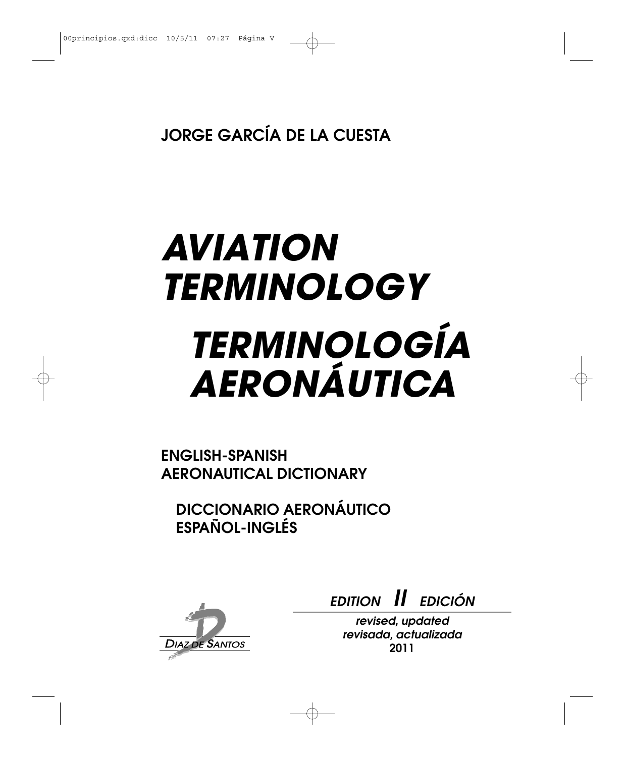**JORGE GARCÍA DE LA CUESTA**

# *AVIATION TERMINOLOGY TERMINOLOGÍA AERONÁUTICA*

**ENGLISH-SPANISH AERONAUTICAL DICTIONARY**

**DICCIONARIO AERONÁUTICO ESPAÑOL-INGLÉS**



**EDITION II EDICIÓN**

**revised, updated revisada, actualizada 2011**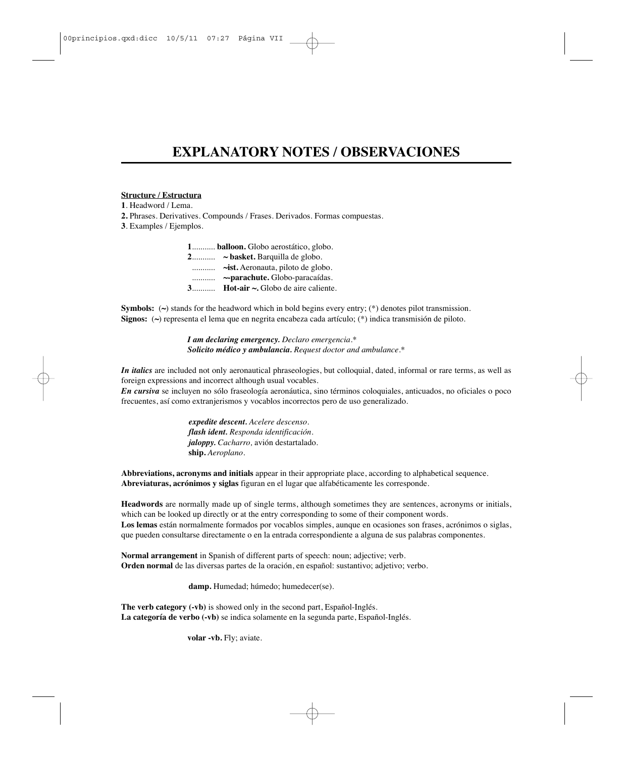# **EXPLANATORY NOTES / OBSERVACIONES**

#### **Structure / Estructura**

**1**. Headword / Lema.

**2.** Phrases. Derivatives. Compounds / Frases. Derivados. Formas compuestas.

**3**. Examples / Ejemplos.

**1**........... **balloon.** Globo aerostático, globo. **2**........... **~ basket.** Barquilla de globo. ........... **~ist.** Aeronauta, piloto de globo. ........... **~-parachute.** Globo-paracaídas. **3**........... **Hot-air ~.** Globo de aire caliente.

**Symbols:**  $(\sim)$  stands for the headword which in bold begins every entry; (\*) denotes pilot transmission. **Signos:** (**~**) representa el lema que en negrita encabeza cada artículo; (\*) indica transmisión de piloto.

> *I am declaring emergency. Declaro emergencia.\* Solicito médico y ambulancia. Request doctor and ambulance.\**

*In italics* are included not only aeronautical phraseologies, but colloquial, dated, informal or rare terms, as well as foreign expressions and incorrect although usual vocables.

*En cursiva* se incluyen no sólo fraseología aeronáutica, sino términos coloquiales, anticuados, no oficiales o poco frecuentes, así como extranjerismos y vocablos incorrectos pero de uso generalizado.

> *expedite descent. Acelere descenso. flash ident. Responda identificación. jaloppy. Cacharro,* avión destartalado. **ship.** *Aeroplano.*

**Abbreviations, acronyms and initials** appear in their appropriate place, according to alphabetical sequence. **Abreviaturas, acrónimos y siglas** figuran en el lugar que alfabéticamente les corresponde.

**Headwords** are normally made up of single terms, although sometimes they are sentences, acronyms or initials, which can be looked up directly or at the entry corresponding to some of their component words. **Los lemas** están normalmente formados por vocablos simples, aunque en ocasiones son frases, acrónimos o siglas, que pueden consultarse directamente o en la entrada correspondiente a alguna de sus palabras componentes.

**Normal arrangement** in Spanish of different parts of speech: noun; adjective; verb. **Orden normal** de las diversas partes de la oración, en español: sustantivo; adjetivo; verbo.

**damp.** Humedad; húmedo; humedecer(se).

**The verb category (-vb)** is showed only in the second part, Español-Inglés. **La categoría de verbo (-vb)** se indica solamente en la segunda parte, Español-Inglés.

**volar -vb.** Fly; aviate.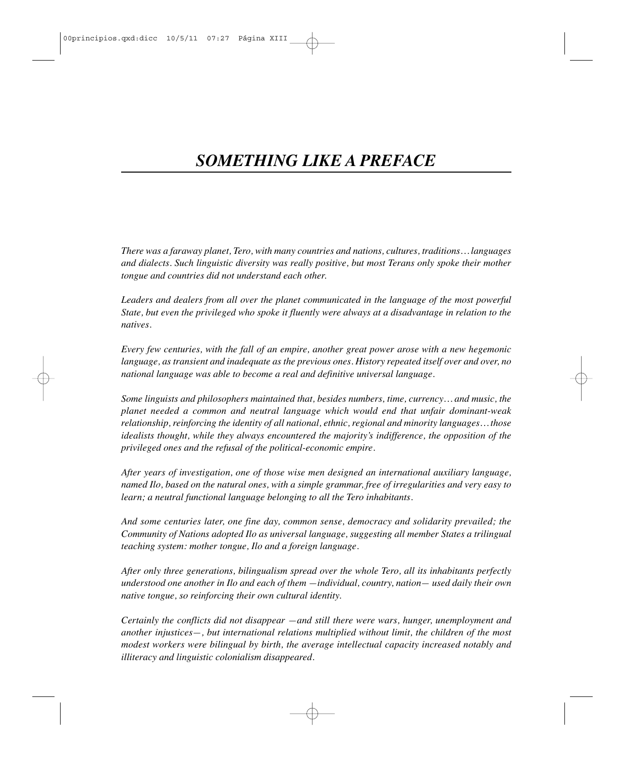*There was a faraway planet, Tero, with many countries and nations, cultures, traditions… languages and dialects. Such linguistic diversity was really positive, but most Terans only spoke their mother tongue and countries did not understand each other.*

*Leaders and dealers from all over the planet communicated in the language of the most powerful State, but even the privileged who spoke it fluently were always at a disadvantage in relation to the natives.*

*Every few centuries, with the fall of an empire, another great power arose with a new hegemonic language, as transient and inadequate as the previous ones. History repeated itself over and over, no national language was able to become a real and definitive universal language.*

*Some linguists and philosophers maintained that, besides numbers, time, currency… and music, the planet needed a common and neutral language which would end that unfair dominant-weak relationship, reinforcing the identity of all national, ethnic, regional and minority languages… those idealists thought, while they always encountered the majority's indifference, the opposition of the privileged ones and the refusal of the political-economic empire.*

*After years of investigation, one of those wise men designed an international auxiliary language, named Ilo, based on the natural ones, with a simple grammar, free of irregularities and very easy to learn; a neutral functional language belonging to all the Tero inhabitants.*

*And some centuries later, one fine day, common sense, democracy and solidarity prevailed; the Community of Nations adopted Ilo as universal language, suggesting all member States a trilingual teaching system: mother tongue, Ilo and a foreign language.*

*After only three generations, bilingualism spread over the whole Tero, all its inhabitants perfectly understood one another in Ilo and each of them —individual, country, nation— used daily their own native tongue, so reinforcing their own cultural identity.*

*Certainly the conflicts did not disappear —and still there were wars, hunger, unemployment and another injustices—, but international relations multiplied without limit, the children of the most modest workers were bilingual by birth, the average intellectual capacity increased notably and illiteracy and linguistic colonialism disappeared.*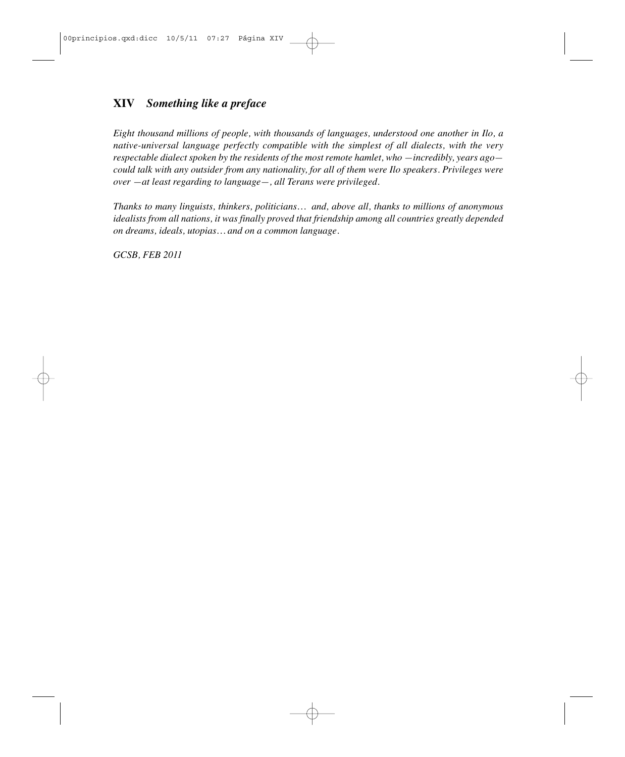# **XIV** *Something like a preface* **abandon**

*Eight thousand millions of people, with thousands of languages, understood one another in Ilo, a native-universal language perfectly compatible with the simplest of all dialects, with the very respectable dialect spoken by the residents of the most remote hamlet, who —incredibly, years ago could talk with any outsider from any nationality, for all of them were Ilo speakers. Privileges were over —at least regarding to language—, all Terans were privileged.*

*Thanks to many linguists, thinkers, politicians… and, above all, thanks to millions of anonymous idealists from all nations, it was finally proved that friendship among all countries greatly depended on dreams, ideals, utopias… and on a common language.*

*GCSB, FEB 2011*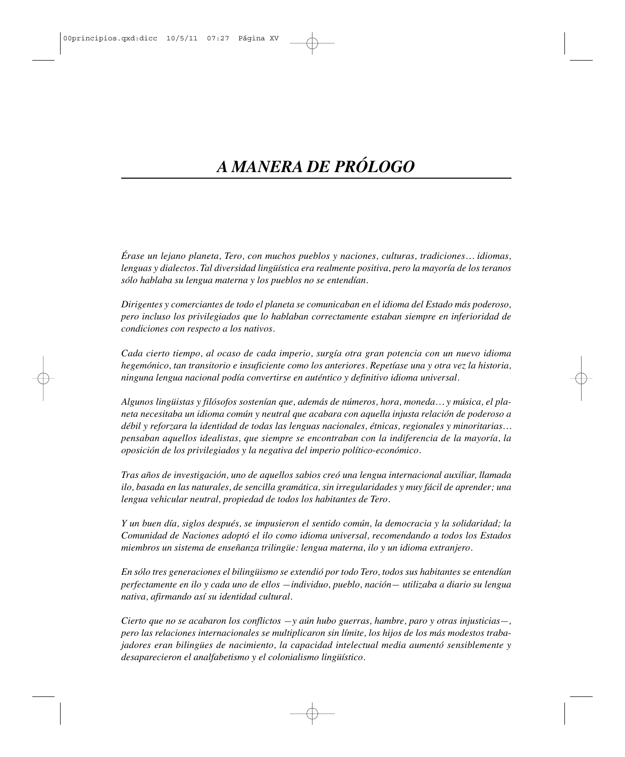*Érase un lejano planeta, Tero, con muchos pueblos y naciones, culturas, tradiciones… idiomas, lenguas y dialectos. Tal diversidad lingüística era realmente positiva, pero la mayoría de los teranos sólo hablaba su lengua materna y los pueblos no se entendían.* 

*Dirigentes y comerciantes de todo el planeta se comunicaban en el idioma del Estado más poderoso, pero incluso los privilegiados que lo hablaban correctamente estaban siempre en inferioridad de condiciones con respecto a los nativos.*

*Cada cierto tiempo, al ocaso de cada imperio, surgía otra gran potencia con un nuevo idioma hegemónico, tan transitorio e insuficiente como los anteriores. Repetíase una y otra vez la historia, ninguna lengua nacional podía convertirse en auténtico y definitivo idioma universal.*

*Algunos lingüistas y filósofos sostenían que, además de números, hora, moneda… y música, el planeta necesitaba un idioma común y neutral que acabara con aquella injusta relación de poderoso a débil y reforzara la identidad de todas las lenguas nacionales, étnicas, regionales y minoritarias… pensaban aquellos idealistas, que siempre se encontraban con la indiferencia de la mayoría, la oposición de los privilegiados y la negativa del imperio político-económico.*

*Tras años de investigación, uno de aquellos sabios creó una lengua internacional auxiliar, llamada ilo, basada en las naturales, de sencilla gramática, sin irregularidades y muy fácil de aprender; una lengua vehicular neutral, propiedad de todos los habitantes de Tero.*

*Y un buen día, siglos después, se impusieron el sentido común, la democracia y la solidaridad; la Comunidad de Naciones adoptó el ilo como idioma universal, recomendando a todos los Estados miembros un sistema de enseñanza trilingüe: lengua materna, ilo y un idioma extranjero.*

*En sólo tres generaciones el bilingüismo se extendió por todo Tero, todos sus habitantes se entendían perfectamente en ilo y cada uno de ellos —individuo, pueblo, nación— utilizaba a diario su lengua nativa, afirmando así su identidad cultural.*

*Cierto que no se acabaron los conflictos —y aún hubo guerras, hambre, paro y otras injusticias—, pero las relaciones internacionales se multiplicaron sin límite, los hijos de los más modestos trabajadores eran bilingües de nacimiento, la capacidad intelectual media aumentó sensiblemente y desaparecieron el analfabetismo y el colonialismo lingüístico.*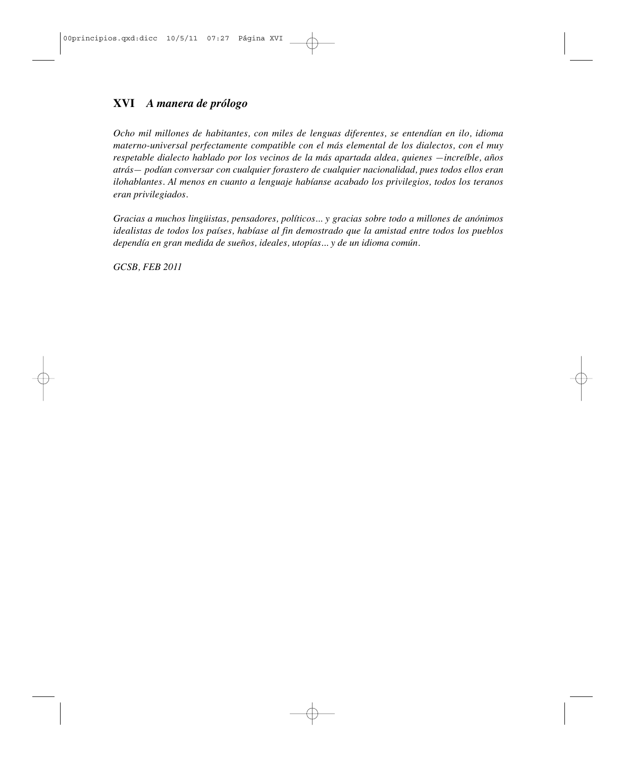# **XVI** *A manera de prólogo* **abandon**

*Ocho mil millones de habitantes, con miles de lenguas diferentes, se entendían en ilo, idioma materno-universal perfectamente compatible con el más elemental de los dialectos, con el muy respetable dialecto hablado por los vecinos de la más apartada aldea, quienes —increíble, años atrás— podían conversar con cualquier forastero de cualquier nacionalidad, pues todos ellos eran ilohablantes. Al menos en cuanto a lenguaje habíanse acabado los privilegios, todos los teranos eran privilegiados.*

*Gracias a muchos lingüistas, pensadores, políticos... y gracias sobre todo a millones de anónimos idealistas de todos los países, habíase al fin demostrado que la amistad entre todos los pueblos dependía en gran medida de sueños, ideales, utopías... y de un idioma común.*

*GCSB, FEB 2011*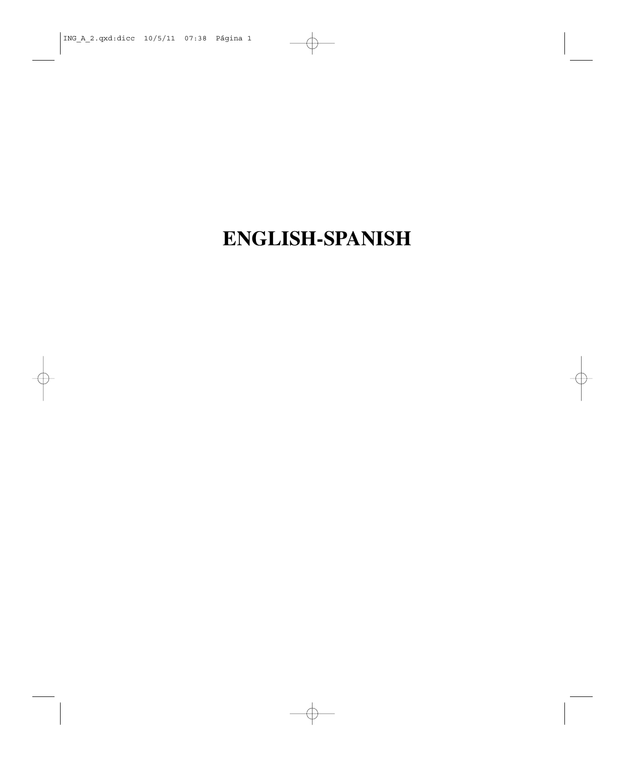# **ENGLISH-SPANISH**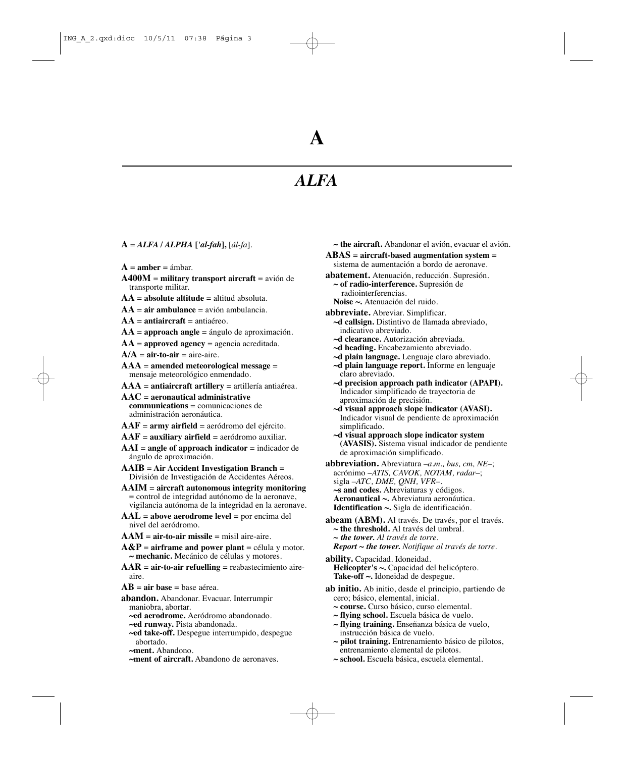# *ALFA*

**A** = *ALFA / ALPHA* **[***'al-fah***],** [*ál-fa*].

- $A =$ **amber** = ámbar.
- **A400M** = **military transport aircraft** = avión de transporte militar.
- **AA** = **absolute altitude** = altitud absoluta.
- **AA** = **air ambulance** = avión ambulancia.

**AA** = **antiaircraft** = antiaéreo.

- **AA** = **approach angle** = ángulo de aproximación.
- $AA =$ **approved agency** = agencia acreditada.
- $A/A =$ **air-to-air** = aire-aire.
- **AAA** = **amended meteorological message** = mensaje meteorológico enmendado.
- **AAA** = **antiaircraft artillery** = artillería antiaérea.
- **AAC** = **aeronautical administrative communications** = comunicaciones de administración aeronáutica.
- **AAF** = **army airfield** = aeródromo del ejército.
- **AAF** = **auxiliary airfield** = aeródromo auxiliar.
- $AAI = angle of approach indicator = indicator$ ángulo de aproximación.
- **AAIB** = **Air Accident Investigation Branch** = División de Investigación de Accidentes Aéreos.
- **AAIM** = **aircraft autonomous integrity monitoring** = control de integridad autónomo de la aeronave, vigilancia autónoma de la integridad en la aeronave.
- **AAL** = **above aerodrome level** = por encima del nivel del aeródromo.
- $AAM = air-to-air \text{~misile} = misil \text{~aire} \cdot aire.$
- $\mathbf{A}\mathbf{\&P}$  = **airframe and power plant** = célula y motor. **~ mechanic.** Mecánico de células y motores.
- $AAR = air-to-air$  refuelling  $=$  reabastecimiento aireaire.
- **AB** = **air base** = base aérea.
- **abandon.** Abandonar. Evacuar. Interrumpir maniobra, abortar.
	- **~ed aerodrome.** Aeródromo abandonado.
	- **~ed runway.** Pista abandonada.
	- **~ed take-off.** Despegue interrumpido, despegue abortado.
	- **~ment.** Abandono.
	- **~ment of aircraft.** Abandono de aeronaves.
- **~ the aircraft.** Abandonar el avión, evacuar el avión.
- **ABAS** = **aircraft-based augmentation system** = sistema de aumentación a bordo de aeronave.
- **abatement.** Atenuación, reducción. Supresión. **~ of radio-interference.** Supresión de radiointerferencias. **Noise ~.** Atenuación del ruido.

**abbreviate.** Abreviar. Simplificar.

- **~d callsign.** Distintivo de llamada abreviado, indicativo abreviado.
- **~d clearance.** Autorización abreviada.
- **~d heading.** Encabezamiento abreviado.
- **~d plain language.** Lenguaje claro abreviado.
- **~d plain language report.** Informe en lenguaje claro abreviado.
- **~d precision approach path indicator (APAPI).** Indicador simplificado de trayectoria de aproximación de precisión.
- **~d visual approach slope indicator (AVASI).** Indicador visual de pendiente de aproximación simplificado.
- **~d visual approach slope indicator system (AVASIS).** Sistema visual indicador de pendiente de aproximación simplificado.

**abbreviation.** Abreviatura –*a.m., bus, cm, NE*–; acrónimo –*ATIS, CAVOK, NOTAM, radar*–; sigla –*ATC, DME, QNH, VFR*–. **~s and codes.** Abreviaturas y códigos. **Aeronautical ~.** Abreviatura aeronáutica. **Identification ~.** Sigla de identificación.

**abeam (ABM).** Al través. De través, por el través. **~ the threshold.** Al través del umbral. *~ the tower. Al través de torre. Report ~ the tower. Notifique al través de torre.*

**ability.** Capacidad. Idoneidad. Helicopter's ~. Capacidad del helicóptero. **Take-off ~.** Idoneidad de despegue.

- **ab initio.** Ab initio, desde el principio, partiendo de cero; básico, elemental, inicial.
	- **~ course.** Curso básico, curso elemental.
	- **~ flying school.** Escuela básica de vuelo.
	- **~ flying training.** Enseñanza básica de vuelo, instrucción básica de vuelo.
	- **~ pilot training.** Entrenamiento básico de pilotos, entrenamiento elemental de pilotos.
	- **~ school.** Escuela básica, escuela elemental.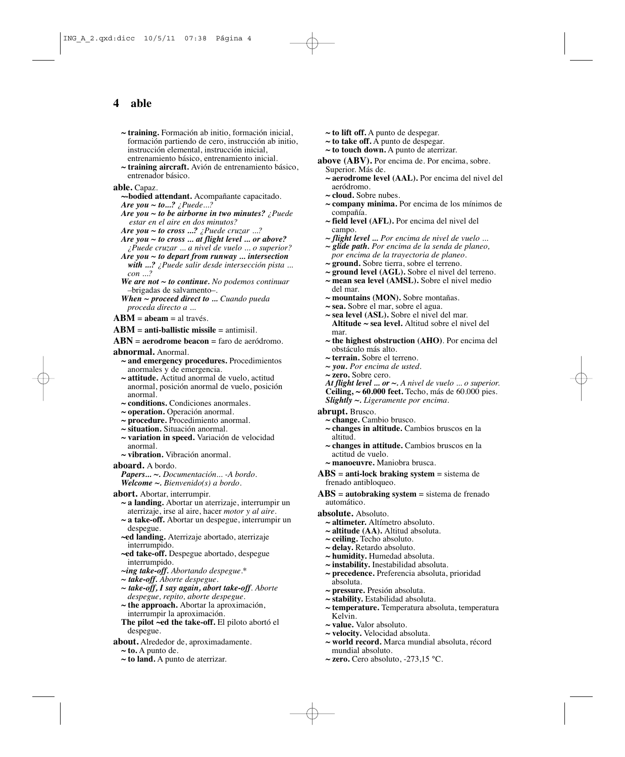- **~ training.** Formación ab initio, formación inicial, formación partiendo de cero, instrucción ab initio, instrucción elemental, instrucción inicial, entrenamiento básico, entrenamiento inicial. **~ training aircraft.** Avión de entrenamiento básico,
- entrenador básico.

#### **able.** Capaz.

#### **~-bodied attendant.** Acompañante capacitado. *Are you ~ to...? ¿Puede...?*

- 
- *Are you ~ to be airborne in two minutes? ¿Puede estar en el aire en dos minutos?*
- *Are you ~ to cross ...? ¿Puede cruzar ...?*
- *Are you ~ to cross ... at flight level ... or above? ¿Puede cruzar ... a nivel de vuelo ... o superior?*
- *Are you ~ to depart from runway ... intersection with ...? ¿Puede salir desde intersección pista ... con ...?*
- *We are not ~ to continue. No podemos continuar*  –brigadas de salvamento–.
- *When ~ proceed direct to ... Cuando pueda proceda directo a ...*

#### $ABM = abeam = al$  través.

**ABM** = **anti-ballistic missile** = antimisil.

**ABN** = **aerodrome beacon** = faro de aeródromo.

#### **abnormal.** Anormal.

- **~ and emergency procedures.** Procedimientos anormales y de emergencia.
- **~ attitude.** Actitud anormal de vuelo, actitud anormal, posición anormal de vuelo, posición anormal.
- **~ conditions.** Condiciones anormales.
- **~ operation.** Operación anormal.
- **~ procedure.** Procedimiento anormal.
- **~ situation.** Situación anormal.
- **~ variation in speed.** Variación de velocidad anormal.
- **~ vibration.** Vibración anormal.

**aboard.** A bordo.

*Papers... ~. Documentación... -A bordo. Welcome ~. Bienvenido(s) a bordo.*

#### **abort.** Abortar, interrumpir.

- **~ a landing.** Abortar un aterrizaje, interrumpir un aterrizaje, irse al aire, hacer *motor y al aire*.
- **~ a take-off.** Abortar un despegue, interrumpir un despegue.
- **~ed landing.** Aterrizaje abortado, aterrizaje interrumpido.
- **~ed take-off.** Despegue abortado, despegue interrumpido.
- *~ing take-off. Abortando despegue*.\*
- *~ take-off. Aborte despegue.*
- *~ take-off, I say again, abort take-off*. *Aborte despegue, repito, aborte despegue.*
- **~ the approach.** Abortar la aproximación, interrumpir la aproximación.
- **The pilot ~ed the take-off.** El piloto abortó el despegue.
- **about.** Alrededor de, aproximadamente.

**~ to.** A punto de.

**~ to land.** A punto de aterrizar.

- **~ to lift off.** A punto de despegar.
- $\sim$  to take off. A punto de despegar.
- **~ to touch down.** A punto de aterrizar.

**above (ABV).** Por encima de. Por encima, sobre. Superior. Más de.

- **~ aerodrome level (AAL).** Por encima del nivel del aeródromo.
- **~ cloud.** Sobre nubes.
- **~ company minima.** Por encima de los mínimos de compañía.
- **~ field level (AFL).** Por encima del nivel del campo.
- *~ flight level ... Por encima de nivel de vuelo ...*
- *~ glide path. Por encima de la senda de planeo, por encima de la trayectoria de planeo.*
- **~ ground.** Sobre tierra, sobre el terreno.
- **~ ground level (AGL).** Sobre el nivel del terreno.
- **~ mean sea level (AMSL).** Sobre el nivel medio del mar.
- **~ mountains (MON).** Sobre montañas.
- **~ sea.** Sobre el mar, sobre el agua.
- **~ sea level (ASL).** Sobre el nivel del mar. **Altitude ~ sea level.** Altitud sobre el nivel del mar.
- **~ the highest obstruction (AHO)**. Por encima del obstáculo más alto.
- **~ terrain.** Sobre el terreno.
- *~ you. Por encima de usted.*
- **~ zero.** Sobre cero.
- *At flight level ... or ~. A nivel de vuelo ... o superior.* **Ceiling,**  $\sim 60.000$  **feet.** Techo, más de  $60.000$  pies.
- *Slightly ~. Ligeramente por encima.*

#### **abrupt.** Brusco.

- **~ change.** Cambio brusco.
- **~ changes in altitude.** Cambios bruscos en la altitud.
- **~ changes in attitude.** Cambios bruscos en la actitud de vuelo.
- **~ manoeuvre.** Maniobra brusca.
- **ABS** = **anti-lock braking system** = sistema de frenado antibloqueo.
- **ABS** = **autobraking system** = sistema de frenado automático.
- **absolute.** Absoluto.
	- **~ altimeter.** Altímetro absoluto.
	- **~ altitude (AA).** Altitud absoluta.
	- **~ ceiling.** Techo absoluto.
	- **~ delay.** Retardo absoluto.
	- **~ humidity.** Humedad absoluta.
	- **~ instability.** Inestabilidad absoluta.
	- **~ precedence.** Preferencia absoluta, prioridad absoluta.
	- **~ pressure.** Presión absoluta.
	- **~ stability.** Estabilidad absoluta.
	- **~ temperature.** Temperatura absoluta, temperatura Kelvin.
	- **~ value.** Valor absoluto.
	- **~ velocity.** Velocidad absoluta.
	- **~ world record.** Marca mundial absoluta, récord mundial absoluto.
	- **~ zero.** Cero absoluto, -273,15 °C.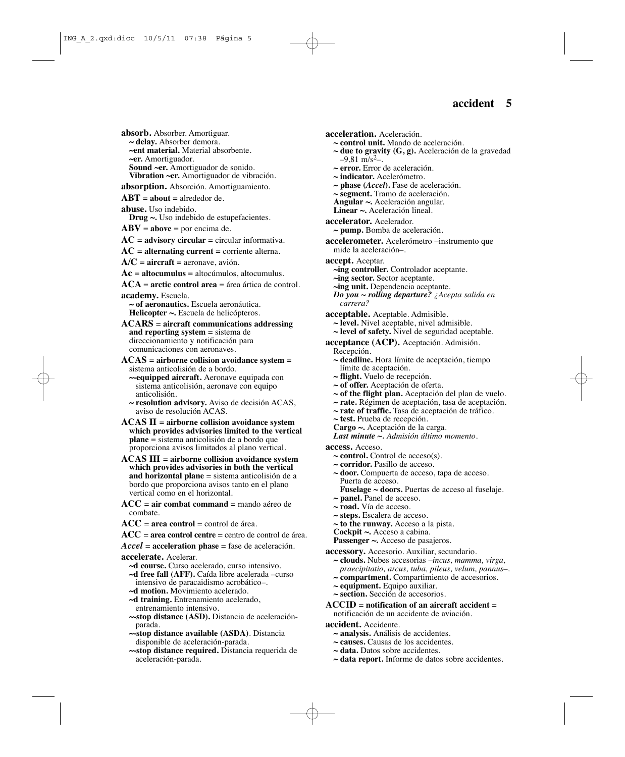**absorb.** Absorber. Amortiguar. **~ delay.** Absorber demora.

**~ent material.** Material absorbente. **~er.** Amortiguador. **Sound ~er.** Amortiguador de sonido.

**Vibration ~er.** Amortiguador de vibración.

**absorption.** Absorción. Amortiguamiento.

 $\bf{A}BT =$ **about** = alrededor de.

**abuse.** Uso indebido.

**Drug ~.** Uso indebido de estupefacientes.

 $ABV = above = por encima de.$ 

**AC** = **advisory circular** = circular informativa.

 $AC =$ **alternating current** = corriente alterna.

 $A/C =$ **aircraft** = aeronave, avión.

**Ac** = **altocumulus** = altocúmulos, altocumulus.

**ACA** = **arctic control area** = área ártica de control. **academy.** Escuela.

**~ of aeronautics.** Escuela aeronáutica. **Helicopter ~.** Escuela de helicópteros.

**ACARS** = **aircraft communications addressing and reporting system = sistema de** direccionamiento y notificación para comunicaciones con aeronaves.

**ACAS** = **airborne collision avoidance system** = sistema anticolisión de a bordo. **~-equipped aircraft.** Aeronave equipada con

sistema anticolisión, aeronave con equipo anticolisión.

**~ resolution advisory.** Aviso de decisión ACAS, aviso de resolución ACAS.

**ACAS II** = **airborne collision avoidance system which provides advisories limited to the vertical plane** = sistema anticolisión de a bordo que proporciona avisos limitados al plano vertical.

**ACAS III** = **airborne collision avoidance system which provides advisories in both the vertical and horizontal plane** = sistema anticolisión de a bordo que proporciona avisos tanto en el plano vertical como en el horizontal.

- **ACC** = **air combat command** = mando aéreo de combate.
- $\angle$ **ACC** = **area control** = control de área.

**ACC** = **area control centre** = centro de control de área.

*Accel* = **acceleration phase** = fase de aceleración.

#### **accelerate.** Acelerar.

- **~d course.** Curso acelerado, curso intensivo.
- **~d free fall (AFF).** Caída libre acelerada –curso intensivo de paracaidismo acrobático–.
- **~d motion.** Movimiento acelerado.

**~d training.** Entrenamiento acelerado, entrenamiento intensivo.

**~-stop distance (ASD).** Distancia de aceleraciónparada.

**~-stop distance available (ASDA)**. Distancia disponible de aceleración-parada.

**~-stop distance required.** Distancia requerida de aceleración-parada.

**acceleration.** Aceleración. **~ control unit.** Mando de aceleración. **~ due to gravity (G, g).** Aceleración de la gravedad  $-9.81 \frac{\text{m}}{\text{s}^2}$ **~ error.** Error de aceleración. **~ indicator.** Acelerómetro. **~ phase (***Accel***).** Fase de aceleración. **~ segment.** Tramo de aceleración. **Angular ~.** Aceleración angular. **Linear ~.** Aceleración lineal. **accelerator.** Acelerador. **~ pump.** Bomba de aceleración. **accelerometer.** Acelerómetro –instrumento que mide la aceleración–. **accept.** Aceptar. **~ing controller.** Controlador aceptante. **~ing sector.** Sector aceptante. **~ing unit.** Dependencia aceptante. *Do you ~ rolling departure? ¿Acepta salida en carrera?* **acceptable.** Aceptable. Admisible. **~ level.** Nivel aceptable, nivel admisible. **~ level of safety.** Nivel de seguridad aceptable. **acceptance (ACP).** Aceptación. Admisión. Recepción. **~ deadline.** Hora límite de aceptación, tiempo límite de aceptación. **~ flight.** Vuelo de recepción. **~ of offer.** Aceptación de oferta.  $\sim$  of the flight plan. Aceptación del plan de vuelo. **~ rate.** Régimen de aceptación, tasa de aceptación. **~ rate of traffic.** Tasa de aceptación de tráfico. **~ test.** Prueba de recepción. **Cargo ~.** Aceptación de la carga. *Last minute ~. Admisión último momento.* **access.** Acceso. **~ control.** Control de acceso(s). **~ corridor.** Pasillo de acceso. **~ door.** Compuerta de acceso, tapa de acceso. Puerta de acceso. **Fuselage ~ doors.** Puertas de acceso al fuselaje. **~ panel.** Panel de acceso. **~ road.** Vía de acceso. **~ steps.** Escalera de acceso. **~ to the runway.** Acceso a la pista. **Cockpit ~.** Acceso a cabina. Passenger ~ Acceso de pasajeros. **accessory.** Accesorio. Auxiliar, secundario. **~ clouds.** Nubes accesorias –*incus, mamma, virga, praecipitatio, arcus, tuba, pileus, velum, pannus*–. **~ compartment.** Compartimiento de accesorios. **~ equipment.** Equipo auxiliar. **~ section.** Sección de accesorios. **ACCID** = **notification of an aircraft accident** = notificación de un accidente de aviación. **accident.** Accidente.

- **~ analysis.** Análisis de accidentes.
- **~ causes.** Causas de los accidentes.
- **~ data.** Datos sobre accidentes.
- **~ data report.** Informe de datos sobre accidentes.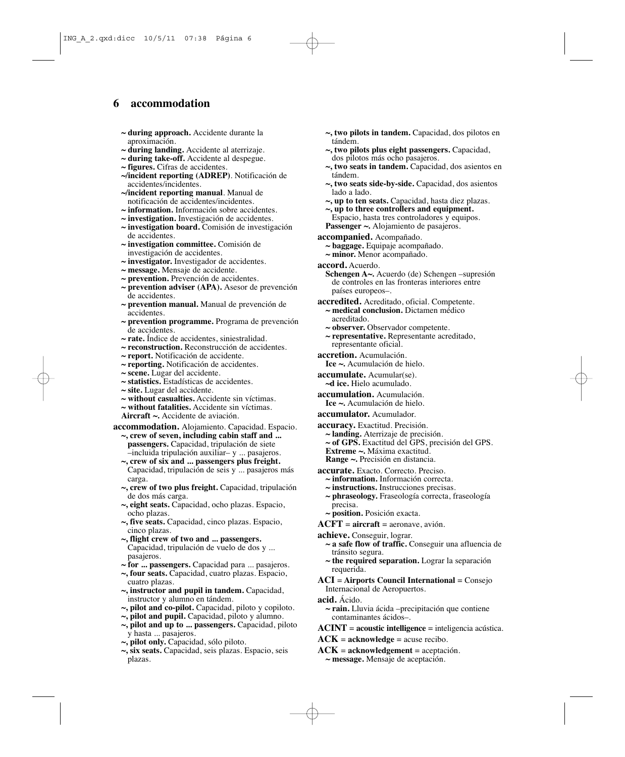#### **6 accommodation abandon**

- **~ during approach.** Accidente durante la aproximación.
- **~ during landing.** Accidente al aterrizaje.
- **~ during take-off.** Accidente al despegue.
- **~ figures.** Cifras de accidentes.
- **~/incident reporting (ADREP)**. Notificación de accidentes/incidentes.
- **~/incident reporting manual**. Manual de notificación de accidentes/incidentes.
- **~ information.** Información sobre accidentes.
- **~ investigation.** Investigación de accidentes.
- **~ investigation board.** Comisión de investigación de accidentes.
- **~ investigation committee.** Comisión de investigación de accidentes.
- **~ investigator.** Investigador de accidentes.
- **~ message.** Mensaje de accidente.
- **~ prevention.** Prevención de accidentes.
- **~ prevention adviser (APA).** Asesor de prevención de accidentes.
- **~ prevention manual.** Manual de prevención de accidentes.
- **~ prevention programme.** Programa de prevención de accidentes.
- **~ rate.** Índice de accidentes, siniestralidad.
- **~ reconstruction.** Reconstrucción de accidentes.
- **~ report.** Notificación de accidente.
- **~ reporting.** Notificación de accidentes.
- **~ scene.** Lugar del accidente.
- **~ statistics.** Estadísticas de accidentes.
- **~ site.** Lugar del accidente.
- **~ without casualties.** Accidente sin víctimas.
- **~ without fatalities.** Accidente sin víctimas.
- **Aircraft ~.** Accidente de aviación.

#### **accommodation.** Alojamiento. Capacidad. Espacio.

- **~, crew of seven, including cabin staff and ... passengers.** Capacidad, tripulación de siete –incluida tripulación auxiliar– y ... pasajeros.
- **~, crew of six and ... passengers plus freight.** Capacidad, tripulación de seis y ... pasajeros más carga.
- **~, crew of two plus freight.** Capacidad, tripulación de dos más carga.
- **~, eight seats.** Capacidad, ocho plazas. Espacio, ocho plazas.
- **~, five seats.** Capacidad, cinco plazas. Espacio, cinco plazas.
- **~, flight crew of two and ... passengers.** Capacidad, tripulación de vuelo de dos y ... pasajeros.
- **~ for ... passengers.** Capacidad para ... pasajeros.
- **~, four seats.** Capacidad, cuatro plazas. Espacio, cuatro plazas.
- **~, instructor and pupil in tandem.** Capacidad, instructor y alumno en tándem.
- **~, pilot and co-pilot.** Capacidad, piloto y copiloto.
- **~, pilot and pupil.** Capacidad, piloto y alumno.
- **~, pilot and up to ... passengers.** Capacidad, piloto y hasta ... pasajeros.
- **~, pilot only.** Capacidad, sólo piloto.
- **~, six seats.** Capacidad, seis plazas. Espacio, seis plazas.
- **~, two pilots in tandem.** Capacidad, dos pilotos en tándem.
- **~, two pilots plus eight passengers.** Capacidad, dos pilotos más ocho pasajeros.
- **~, two seats in tandem.** Capacidad, dos asientos en tándem.
- **~, two seats side-by-side.** Capacidad, dos asientos lado a lado.
- **~, up to ten seats.** Capacidad, hasta diez plazas.
- **~, up to three controllers and equipment.** Espacio, hasta tres controladores y equipos.
- **Passenger ~.** Alojamiento de pasajeros.
- **accompanied.** Acompañado.
	- **~ baggage.** Equipaje acompañado.
	- **~ minor.** Menor acompañado.
- **accord.** Acuerdo.
	- **Schengen A~.** Acuerdo (de) Schengen –supresión de controles en las fronteras interiores entre países europeos–.
- **accredited.** Acreditado, oficial. Competente.
	- **~ medical conclusion.** Dictamen médico acreditado.
	- **~ observer.** Observador competente.
	- **~ representative.** Representante acreditado, representante oficial.
- **accretion.** Acumulación.
- **Ice ~.** Acumulación de hielo.
- **accumulate.** Acumular(se). **~d ice.** Hielo acumulado.
- **accumulation.** Acumulación. **Ice ~.** Acumulación de hielo.
- **accumulator.** Acumulador.
- **accuracy.** Exactitud. Precisión.
	- **~ landing.** Aterrizaje de precisión.
	- **~ of GPS.** Exactitud del GPS, precisión del GPS.
	- **Extreme ~.** Máxima exactitud.
	- **Range ~.** Precisión en distancia.
- **accurate.** Exacto. Correcto. Preciso.
	- **~ information.** Información correcta.
	- **~ instructions.** Instrucciones precisas.
	- **~ phraseology.** Fraseología correcta, fraseología precisa.
	- **~ position.** Posición exacta.
- **ACFT** = **aircraft** = aeronave, avión.
- **achieve.** Conseguir, lograr.
	- **~ a safe flow of traffic.** Conseguir una afluencia de tránsito segura.
	- **~ the required separation.** Lograr la separación requerida.

**ACI** = **Airports Council International** = Consejo Internacional de Aeropuertos.

- **acid.** Ácido.
	- **~ rain.** Lluvia ácida –precipitación que contiene contaminantes ácidos–.
- **ACINT** = **acoustic intelligence** = inteligencia acústica.
- $ACK = **acknowledge** = **acuse recibo**$ .
- **ACK** = **acknowledgement** = aceptación.
	- **~ message.** Mensaje de aceptación.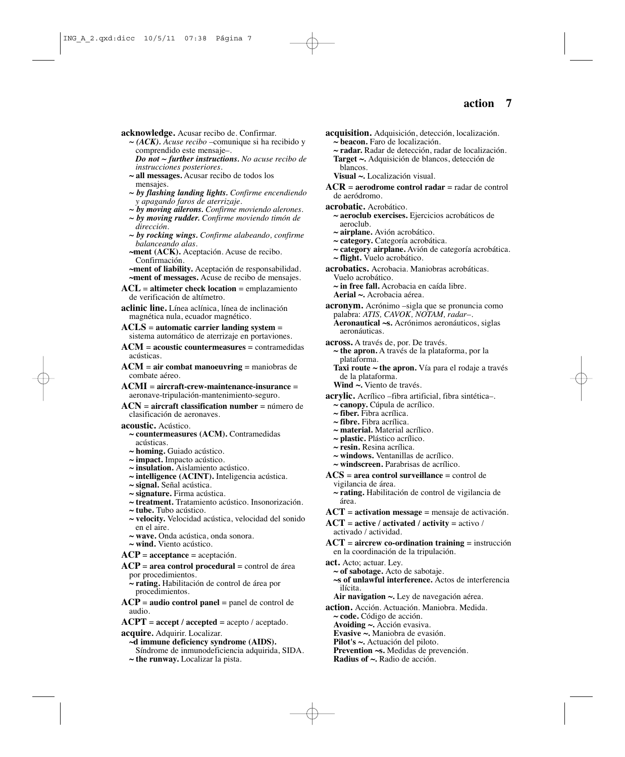**acknowledge.** Acusar recibo de. Confirmar.

*~ (ACK). Acuse recibo* –comunique si ha recibido y comprendido este mensaje–.

*Do not ~ further instructions. No acuse recibo de instrucciones posteriores.*

- **~ all messages.** Acusar recibo de todos los mensajes.
- *~ by flashing landing lights. Confirme encendiendo y apagando faros de aterrizaje.*
- *~ by moving ailerons. Confirme moviendo alerones.*
- *~ by moving rudder. Confirme moviendo timón de dirección.*
- *~ by rocking wings. Confirme alabeando, confirme balanceando alas.*
- **~ment (ACK).** Aceptación. Acuse de recibo. Confirmación.
- **~ment of liability.** Aceptación de responsabilidad. **~ment of messages.** Acuse de recibo de mensajes.

**ACL** = **altimeter check location** = emplazamiento de verificación de altímetro.

**aclinic line.** Línea aclínica, línea de inclinación magnética nula, ecuador magnético.

**ACLS** = **automatic carrier landing system** = sistema automático de aterrizaje en portaviones.

**ACM** = **acoustic countermeasures** = contramedidas acústicas.

**ACM** = **air combat manoeuvring** = maniobras de combate aéreo.

**ACMI** = **aircraft-crew-maintenance-insurance** = aeronave-tripulación-mantenimiento-seguro.

**ACN** = **aircraft classification number** = número de clasificación de aeronaves.

#### **acoustic.** Acústico.

- **~ countermeasures (ACM).** Contramedidas acústicas.
- **~ homing.** Guiado acústico.
- **~ impact.** Impacto acústico.
- **~ insulation.** Aislamiento acústico.
- **~ intelligence (ACINT).** Inteligencia acústica.
- **~ signal.** Señal acústica.
- **~ signature.** Firma acústica.
- **~ treatment.** Tratamiento acústico. Insonorización.
- **~ tube.** Tubo acústico.
- **~ velocity.** Velocidad acústica, velocidad del sonido en el aire.
- **~ wave.** Onda acústica, onda sonora.
- **~ wind.** Viento acústico.
- **ACP** = **acceptance** = aceptación.

**ACP** = **area control procedural** = control de área por procedimientos.

**~ rating.** Habilitación de control de área por procedimientos.

 $ACP =$  **audio control panel** = panel de control de audio.

 $\mathbf{ACPT}$  =  $\mathbf{accept}$  /  $\mathbf{accepted}$  =  $\mathbf{accept}$  /  $\mathbf{accept}$ 

**acquire.** Adquirir. Localizar.

**~d immune deficiency syndrome (AIDS).** Síndrome de inmunodeficiencia adquirida, SIDA. **~ the runway.** Localizar la pista.

- **acquisition.** Adquisición, detección, localización.
	- **~ beacon.** Faro de localización.
	- **~ radar.** Radar de detección, radar de localización. **Target ~.** Adquisición de blancos, detección de
		- blancos.
	- **Visual ~.** Localización visual.
- **ACR** = **aerodrome control radar** = radar de control de aeródromo.
- **acrobatic.** Acrobático.
- **~ aeroclub exercises.** Ejercicios acrobáticos de aeroclub.
- **~ airplane.** Avión acrobático.
- **~ category.** Categoría acrobática.
- **~ category airplane.** Avión de categoría acrobática.
- **~ flight.** Vuelo acrobático.
- **acrobatics.** Acrobacia. Maniobras acrobáticas. Vuelo acrobático.
	- **~ in free fall.** Acrobacia en caída libre.
	- **Aerial ~.** Acrobacia aérea.

**acronym.** Acrónimo –sigla que se pronuncia como palabra: *ATIS, CAVOK, NOTAM, radar*–. **Aeronautical ~s.** Acrónimos aeronáuticos, siglas aeronáuticas.

- **across.** A través de, por. De través.
	- **~ the apron.** A través de la plataforma, por la plataforma.
	- **Taxi route**  $\sim$  **the apron.** Vía para el rodaje a través de la plataforma.

**Wind ~.** Viento de través.

- **acrylic.** Acrílico –fibra artificial, fibra sintética–.
	- **~ canopy.** Cúpula de acrílico.
	- **~ fiber.** Fibra acrílica.
	- **~ fibre.** Fibra acrílica.
	- **~ material.** Material acrílico.
	- **~ plastic.** Plástico acrílico.
	- **~ resin.** Resina acrílica.
	- **~ windows.** Ventanillas de acrílico.
	- **~ windscreen.** Parabrisas de acrílico.
- **ACS** = **area control surveillance** = control de
- vigilancia de área.
- **~ rating.** Habilitación de control de vigilancia de área.
- $ACT = activation message = message$  de activación.
- $ACT = active / activated / activity = activo /$ activado / actividad.
- **ACT** = **aircrew co-ordination training** = instrucción en la coordinación de la tripulación.
- **act.** Acto; actuar. Ley.
	- **~ of sabotage.** Acto de sabotaje.
	- **~s of unlawful interference.** Actos de interferencia ilícita.

**Air navigation ~.** Ley de navegación aérea.

- **action.** Acción. Actuación. Maniobra. Medida. **~ code.** Código de acción.
	- **Avoiding ~.** Acción evasiva.
	- **Evasive ~.** Maniobra de evasión.
	- **Pilot's ~.** Actuación del piloto.
- **Prevention ~s.** Medidas de prevención.
- **Radius of ~.** Radio de acción.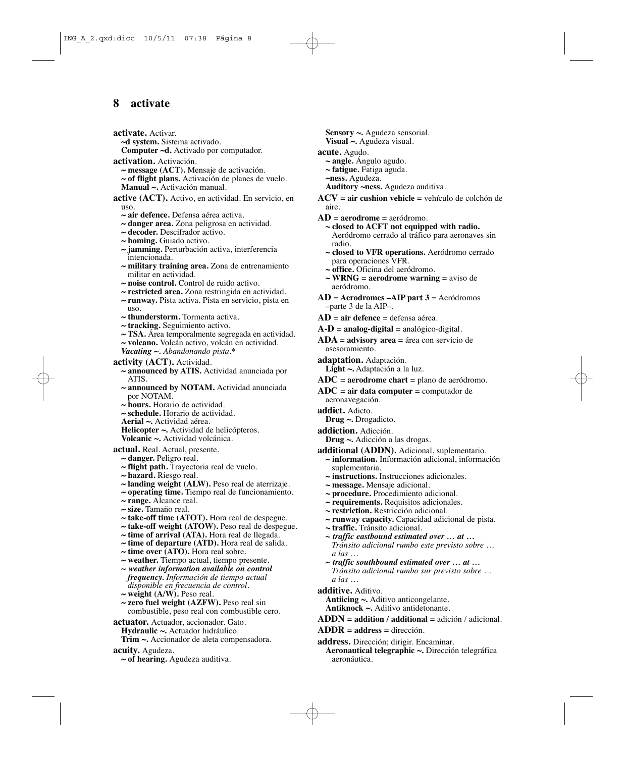# **8 activate abandonn**

**activate.** Activar. **~d system.** Sistema activado. **Computer ~d.** Activado por computador.

**activation.** Activación.

**~ message (ACT).** Mensaje de activación. **~ of flight plans.** Activación de planes de vuelo. **Manual ~.** Activación manual.

**active (ACT).** Activo, en actividad. En servicio, en uso.

**~ air defence.** Defensa aérea activa.

- **~ danger area.** Zona peligrosa en actividad.
- **~ decoder.** Descifrador activo.
- **~ homing.** Guiado activo.
- **~ jamming.** Perturbación activa, interferencia intencionada.
- **~ military training area.** Zona de entrenamiento militar en actividad.
- **~ noise control.** Control de ruido activo.
- **~ restricted area.** Zona restringida en actividad.
- **~ runway.** Pista activa. Pista en servicio, pista en uso.
- **~ thunderstorm.** Tormenta activa.
- **~ tracking.** Seguimiento activo.
- **~ TSA.** Área temporalmente segregada en actividad.

**~ volcano.** Volcán activo, volcán en actividad.

*Vacating ~. Abandonando pista.\**

**activity (ACT).** Actividad.

- **~ announced by ATIS.** Actividad anunciada por ATIS.
- **~ announced by NOTAM.** Actividad anunciada por NOTAM.
- **~ hours.** Horario de actividad.
- **~ schedule.** Horario de actividad.
- **Aerial ~.** Actividad aérea.
- **Helicopter ~.** Actividad de helicópteros.

**Volcanic ~.** Actividad volcánica.

**actual.** Real. Actual, presente.

- **~ danger.** Peligro real.
- **~ flight path.** Trayectoria real de vuelo.
- **~ hazard.** Riesgo real.
- **~ landing weight (ALW).** Peso real de aterrizaje.
- **~ operating time.** Tiempo real de funcionamiento.
- **~ range.** Alcance real.
- **~ size.** Tamaño real.
- **~ take-off time (ATOT).** Hora real de despegue.
- **~ take-off weight (ATOW).** Peso real de despegue.
- **~ time of arrival (ATA).** Hora real de llegada.
- **~ time of departure (ATD).** Hora real de salida.
- **~ time over (ATO).** Hora real sobre.
- **~ weather.** Tiempo actual, tiempo presente.
- *~ weather information available on control frequency. Información de tiempo actual disponible en frecuencia de control.*
- **~ weight (A/W).** Peso real.
- **~ zero fuel weight (AZFW).** Peso real sin combustible, peso real con combustible cero.
- **actuator.** Actuador, accionador. Gato.

**Hydraulic ~.** Actuador hidráulico. **Trim ~.** Accionador de aleta compensadora.

**acuity.** Agudeza.

**~ of hearing.** Agudeza auditiva.

**Sensory ~.** Agudeza sensorial. **Visual ~.** Agudeza visual.

- **acute.** Agudo.
	- **~ angle.** Ángulo agudo.
	- **~ fatigue.** Fatiga aguda.
	- **~ness.** Agudeza.
	- **Auditory ~ness.** Agudeza auditiva.
- **ACV** = **air cushion vehicle** = vehículo de colchón de aire.
- **AD** = **aerodrome** = aeródromo.
	- **~ closed to ACFT not equipped with radio.** Aeródromo cerrado al tráfico para aeronaves sin radio.
	- **~ closed to VFR operations.** Aeródromo cerrado para operaciones VFR.
	- **~ office.** Oficina del aeródromo.
	- **~ WRNG** = **aerodrome warning** = aviso de aeródromo.
- **AD** = **Aerodromes –AIP part 3** = Aeródromos –parte 3 de la AIP–.
- **AD** = **air defence** = defensa aérea.
- $A-D =$ **analog-digital** = analógico-digital.
- **ADA** = **advisory area** = área con servicio de asesoramiento.
- **adaptation.** Adaptación.

**Light ~.** Adaptación a la luz.

- **ADC** = **aerodrome chart** = plano de aeródromo.
- **ADC** = **air data computer** = computador de aeronavegación.
- **addict.** Adicto.
	- **Drug ~.** Drogadicto.
- **addiction.** Adicción.
	- **Drug ~.** Adicción a las drogas.
- **additional (ADDN).** Adicional, suplementario.
	- **~ information.** Información adicional, información suplementaria.
	- **~ instructions.** Instrucciones adicionales.
	- **~ message.** Mensaje adicional.
	- **~ procedure.** Procedimiento adicional.
	- **~ requirements.** Requisitos adicionales.
	- **~ restriction.** Restricción adicional.
	- **~ runway capacity.** Capacidad adicional de pista.
	- **~ traffic.** Tránsito adicional.
	- *~ traffic eastbound estimated over … at … Tránsito adicional rumbo este previsto sobre … a las …*
	- *~ traffic southbound estimated over … at … Tránsito adicional rumbo sur previsto sobre … a las …*
- **additive.** Aditivo.
	- **Antiicing ~.** Aditivo anticongelante. **Antiknock ~.** Aditivo antidetonante.
- **ADDN** = **addition / additional** = adición / adicional.
- **ADDR** = **address** = dirección.
- **address.** Dirección; dirigir. Encaminar.
	- **Aeronautical telegraphic ~.** Dirección telegráfica aeronáutica.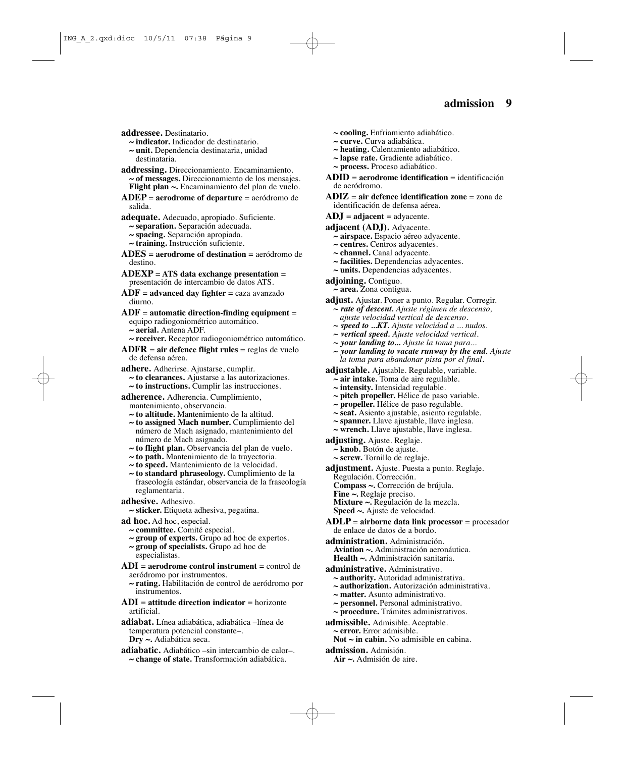**addressee.** Destinatario.

- **~ indicator.** Indicador de destinatario.
- **~ unit.** Dependencia destinataria, unidad destinataria.
- **addressing.** Direccionamiento. Encaminamiento. **~ of messages.** Direccionamiento de los mensajes. **Flight plan ~.** Encaminamiento del plan de vuelo.
- **ADEP** = **aerodrome of departure** = aeródromo de salida.
- **adequate.** Adecuado, apropiado. Suficiente.
	- **~ separation.** Separación adecuada.
	- **~ spacing.** Separación apropiada.
	- **~ training.** Instrucción suficiente.
- **ADES** = **aerodrome of destination** = aeródromo de destino.
- **ADEXP** = **ATS data exchange presentation** = presentación de intercambio de datos ATS.
- **ADF** = **advanced day fighter** = caza avanzado diurno.
- **ADF** = **automatic direction-finding equipment** = equipo radiogoniométrico automático. **~ aerial.** Antena ADF.
	- **~ receiver.** Receptor radiogoniométrico automático.
- $ADFR = air$  defence flight rules  $=$  reglas de vuelo de defensa aérea.
- **adhere.** Adherirse. Ajustarse, cumplir.
	- **~ to clearances.** Ajustarse a las autorizaciones.
	- **~ to instructions.** Cumplir las instrucciones.

**adherence.** Adherencia. Cumplimiento, mantenimiento, observancia.

- **~ to altitude.** Mantenimiento de la altitud.
- **~ to assigned Mach number.** Cumplimiento del número de Mach asignado, mantenimiento del número de Mach asignado.
- **~ to flight plan.** Observancia del plan de vuelo.
- **~ to path.** Mantenimiento de la trayectoria.
- **~ to speed.** Mantenimiento de la velocidad.
- **~ to standard phraseology.** Cumplimiento de la fraseología estándar, observancia de la fraseología reglamentaria.

#### **adhesive.** Adhesivo.

**~ sticker.** Etiqueta adhesiva, pegatina.

#### **ad hoc.** Ad hoc, especial.

- **~ committee.** Comité especial.
- **~ group of experts.** Grupo ad hoc de expertos.
- **~ group of specialists.** Grupo ad hoc de especialistas.
- **ADI** = **aerodrome control instrument** = control de aeródromo por instrumentos.
	- **~ rating.** Habilitación de control de aeródromo por instrumentos.
- **ADI** = **attitude direction indicator** = horizonte artificial.
- **adiabat.** Línea adiabática, adiabática –línea de temperatura potencial constante–. **Dry ~.** Adiabática seca.
- **adiabatic.** Adiabático –sin intercambio de calor–. **~ change of state.** Transformación adiabática.
- **~ cooling.** Enfriamiento adiabático.
- **~ curve.** Curva adiabática.
- **~ heating.** Calentamiento adiabático.
- **~ lapse rate.** Gradiente adiabático.
- **~ process.** Proceso adiabático.
- **ADID** = **aerodrome identification** = identificación de aeródromo.
- $ADIZ = air$  defence identification zone  $=$  zona de identificación de defensa aérea.
- **ADJ** = **adjacent** = adyacente.
- **adjacent (ADJ).** Adyacente.
	- **~ airspace.** Espacio aéreo adyacente.
	- **~ centres.** Centros adyacentes.
	- **~ channel.** Canal adyacente.
	- **~ facilities.** Dependencias adyacentes.
	- **~ units.** Dependencias adyacentes.
- **adjoining.** Contiguo.
	- **~ area.** Zona contigua.
- **adjust.** Ajustar. Poner a punto. Regular. Corregir. *~ rate of descent. Ajuste régimen de descenso,*
	- *ajuste velocidad vertical de descenso.*
	- *~ speed to ...KT. Ajuste velocidad a ... nudos.*
	- *~ vertical speed. Ajuste velocidad vertical.*
	- *~ your landing to... Ajuste la toma para...*
	- *~ your landing to vacate runway by the end. Ajuste la toma para abandonar pista por el final.*
- **adjustable.** Ajustable. Regulable, variable.
	- **~ air intake.** Toma de aire regulable.
	- **~ intensity.** Intensidad regulable.
	- **~ pitch propeller.** Hélice de paso variable.
	- **~ propeller.** Hélice de paso regulable.
	- **~ seat.** Asiento ajustable, asiento regulable.
	- **~ spanner.** Llave ajustable, llave inglesa.
	- **~ wrench.** Llave ajustable, llave inglesa.

**adjusting.** Ajuste. Reglaje. **~ knob.** Botón de ajuste.

- **~ screw.** Tornillo de reglaje.
- **adjustment.** Ajuste. Puesta a punto. Reglaje. Regulación. Corrección. **Compass ~.** Corrección de brújula.
	- **Fine ~.** Reglaje preciso. **Mixture ~.** Regulación de la mezcla. **Speed ~.** Ajuste de velocidad.
- 
- **ADLP** = **airborne data link processor** = procesador de enlace de datos de a bordo.
- **administration.** Administración. **Aviation ~.** Administración aeronáutica. **Health ~.** Administración sanitaria.
- **administrative.** Administrativo.
	- **~ authority.** Autoridad administrativa.
	- **~ authorization.** Autorización administrativa.
	- **~ matter.** Asunto administrativo.
	- **~ personnel.** Personal administrativo.
	- **~ procedure.** Trámites administrativos.
- **admissible.** Admisible. Aceptable.

**~ error.** Error admisible.

- **Not ~ in cabin.** No admisible en cabina.
- **admission.** Admisión.

**Air ~.** Admisión de aire.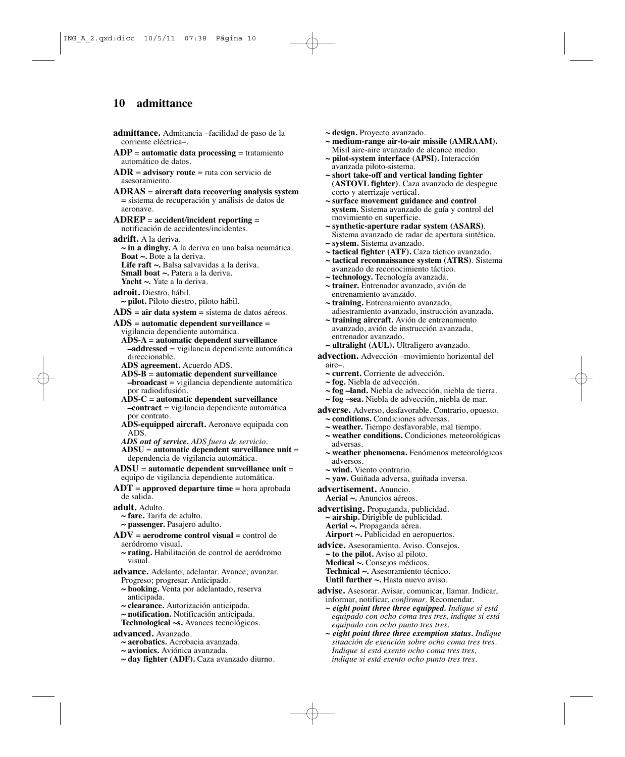## **10 admittance abandon abandon abandon abandon abandon abandon abandon abandon abandon abandon abandon a**

| admittance. Admitancia -facilidad de paso de la<br>corriente eléctrica-.                                                                                                                                                                                                                                                                                                                                                                                                                                                                                                                                                                                                                           |
|----------------------------------------------------------------------------------------------------------------------------------------------------------------------------------------------------------------------------------------------------------------------------------------------------------------------------------------------------------------------------------------------------------------------------------------------------------------------------------------------------------------------------------------------------------------------------------------------------------------------------------------------------------------------------------------------------|
| $ADP =$ automatic data processing = tratamiento<br>automático de datos.                                                                                                                                                                                                                                                                                                                                                                                                                                                                                                                                                                                                                            |
| $ADR =$ <b>advisory route</b> = ruta con servicio de<br>asesoramiento.                                                                                                                                                                                                                                                                                                                                                                                                                                                                                                                                                                                                                             |
| $ADRAS =$ aircraft data recovering analysis system<br>= sistema de recuperación y análisis de datos de<br>aeronave.                                                                                                                                                                                                                                                                                                                                                                                                                                                                                                                                                                                |
| $ADREP = accident/incident$ reporting =<br>notificación de accidentes/incidentes.                                                                                                                                                                                                                                                                                                                                                                                                                                                                                                                                                                                                                  |
| <b>adrift.</b> A la deriva.<br>$\sim$ in a dinghy. A la deriva en una balsa neumática.<br><b>Boat ~.</b> Bote a la deriva.<br>Life raft ~. Balsa salvavidas a la deriva.<br><b>Small boat ~.</b> Patera a la deriva.<br><b>Yacht</b> ~ Yate a la deriva.                                                                                                                                                                                                                                                                                                                                                                                                                                           |
| <b>adroit.</b> Diestro, hábil.<br>$\sim$ pilot. Piloto diestro, piloto hábil.                                                                                                                                                                                                                                                                                                                                                                                                                                                                                                                                                                                                                      |
| $ADS = air data system = sistema de datos aéreos.$                                                                                                                                                                                                                                                                                                                                                                                                                                                                                                                                                                                                                                                 |
| $ADS = automatic dependent surveillance =$<br>vigilancia dependiente automática.<br>ADS-A = automatic dependent surveillance<br><b>-addressed</b> = vigilancia dependiente automática<br>direccionable.<br>ADS agreement. Acuerdo ADS.<br>$ADS-B = automatic dependent surveillance$<br><b>-broadcast</b> = vigilancia dependiente automática<br>por radiodifusión.<br>$ADS-C = automatic dependent surveillance$<br><b>-contract</b> = vigilancia dependiente automática<br>por contrato.<br>ADS-equipped aircraft. Aeronave equipada con<br>ADS.<br>ADS out of service. ADS fuera de servicio.<br>$\bf{ADS}U =$ automatic dependent surveillance unit =<br>dependencia de vigilancia automática. |
| $\overline{ADSU}$ = automatic dependent surveillance unit =<br>equipo de vigilancia dependiente automática.                                                                                                                                                                                                                                                                                                                                                                                                                                                                                                                                                                                        |
| $ADT =$ approved departure time = hora aprobada<br>de salida.                                                                                                                                                                                                                                                                                                                                                                                                                                                                                                                                                                                                                                      |
| adult. Adulto.<br>$\sim$ fare. Tarifa de adulto.<br>$\sim$ passenger. Pasajero adulto.                                                                                                                                                                                                                                                                                                                                                                                                                                                                                                                                                                                                             |
| $ADV = aerodrome control visual = control de$<br>aeródromo visual.                                                                                                                                                                                                                                                                                                                                                                                                                                                                                                                                                                                                                                 |
| ~ rating. Habilitación de control de aeródromo<br>visual.                                                                                                                                                                                                                                                                                                                                                                                                                                                                                                                                                                                                                                          |
| advance. Adelanto; adelantar. Avance; avanzar.<br>Progreso; progresar. Anticipado.<br>~ booking. Venta por adelantado, reserva<br>anticipada.<br>~ clearance. Autorización anticipada.<br>$\sim$ notification. Notificación anticipada.<br>Technological ~s. Avances tecnológicos.                                                                                                                                                                                                                                                                                                                                                                                                                 |

#### **advanced.** Avanzado.

- **~ aerobatics.** Acrobacia avanzada.
- **~ avionics.** Aviónica avanzada.
- **~ day fighter (ADF).** Caza avanzado diurno.
- **~ design.** Proyecto avanzado.
- **~ medium-range air-to-air missile (AMRAAM).** Misil aire-aire avanzado de alcance medio.
- **~ pilot-system interface (APSI).** Interacción avanzada piloto-sistema.
- **~ short take-off and vertical landing fighter (ASTOVL fighter)**. Caza avanzado de despegue corto y aterrizaje vertical.
- **~ surface movement guidance and control system.** Sistema avanzado de guía y control del movimiento en superficie.
- **~ synthetic-aperture radar system (ASARS)**. Sistema avanzado de radar de apertura sintética.
- **~ system.** Sistema avanzado.
- **~ tactical fighter (ATF).** Caza táctico avanzado.
- **~ tactical reconnaissance system (ATRS)**. Sistema avanzado de reconocimiento táctico.
- **~ technology.** Tecnología avanzada.
- **~ trainer.** Entrenador avanzado, avión de entrenamiento avanzado.
- **~ training.** Entrenamiento avanzado, adiestramiento avanzado, instrucción avanzada.
- **~ training aircraft.** Avión de entrenamiento avanzado, avión de instrucción avanzada, entrenador avanzado.
- **~ ultralight (AUL).** Ultraligero avanzado.

**advection.** Advección –movimiento horizontal del aire–.

- **~ current.** Corriente de advección.
- **~ fog.** Niebla de advección.
- **~ fog –land.** Niebla de advección, niebla de tierra.
- **~ fog –sea.** Niebla de advección, niebla de mar.
- **adverse.** Adverso, desfavorable. Contrario, opuesto.
	- **~ conditions.** Condiciones adversas.
	- **~ weather.** Tiempo desfavorable, mal tiempo.
	- **~ weather conditions.** Condiciones meteorológicas adversas.
	- **~ weather phenomena.** Fenómenos meteorológicos adversos.
	- **~ wind.** Viento contrario.
	- **~ yaw.** Guiñada adversa, guiñada inversa.
- **advertisement.** Anuncio.

**Aerial ~.** Anuncios aéreos.

**advertising.** Propaganda, publicidad.

- **~ airship.** Dirigible de publicidad.
- **Aerial ~.** Propaganda aérea.
- **Airport ~.** Publicidad en aeropuertos.
- **advice.** Asesoramiento. Aviso. Consejos. **~ to the pilot.** Aviso al piloto. **Medical ~.** Consejos médicos. **Technical ~.** Asesoramiento técnico. **Until further ~.** Hasta nuevo aviso.
- **advise.** Asesorar. Avisar, comunicar, llamar. Indicar, informar, notificar, *confirmar*. Recomendar.
	- *~ eight point three three equipped. Indique si está equipado con ocho coma tres tres, indique si está equipado con ocho punto tres tres.*
	- *~ eight point three three exemption status. Indique situación de exención sobre ocho coma tres tres. Indique si está exento ocho coma tres tres, indique si está exento ocho punto tres tres.*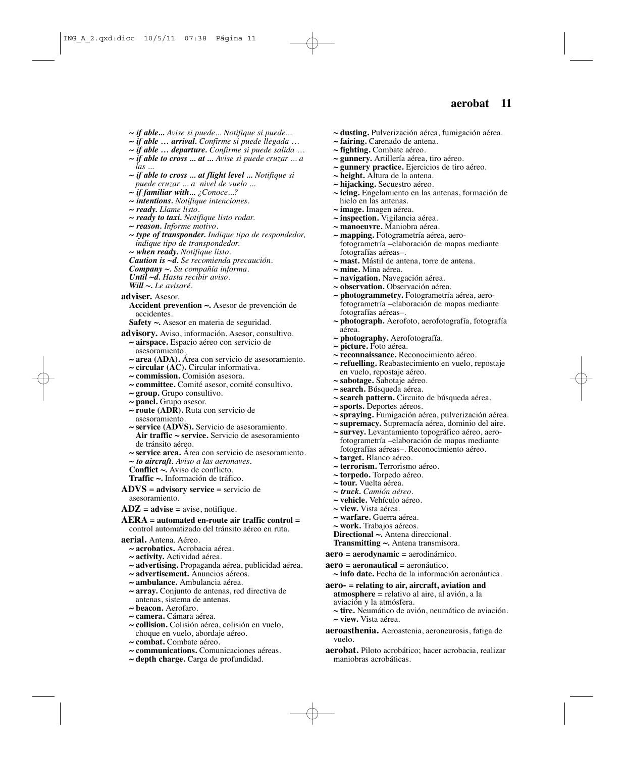- *~ if able... Avise si puede... Notifique si puede...*
- *~ if able … arrival. Confirme si puede llegada …*
- *~ if able … departure. Confirme si puede salida …*
- *~ if able to cross ... at ... Avise si puede cruzar ... a las ...*
- *~ if able to cross ... at flight level ... Notifique si puede cruzar ... a nivel de vuelo ...*
- *~ if familiar with... ¿Conoce...?*
- *~ intentions. Notifique intenciones.*
- *~ ready. Llame listo.*
- *~ ready to taxi. Notifique listo rodar.*
- *~ reason. Informe motivo.*
- *~ type of transponder. Indique tipo de respondedor, indique tipo de transpondedor.*
- *~ when ready. Notifique listo.*
- *Caution is ~d. Se recomienda precaución.*
- *Company ~. Su compañía informa.*
- *Until ~d. Hasta recibir aviso.*
- *Will ~. Le avisaré.*

**adviser.** Asesor.

**Accident prevention ~.** Asesor de prevención de accidentes.

**Safety ~.** Asesor en materia de seguridad.

- **advisory.** Aviso, información. Asesor, consultivo.
	- **~ airspace.** Espacio aéreo con servicio de asesoramiento.
	- **~ area (ADA).** Área con servicio de asesoramiento.
	- **~ circular (AC).** Circular informativa.
	- **~ commission.** Comisión asesora.
	- **~ committee.** Comité asesor, comité consultivo.
	- **~ group.** Grupo consultivo.
	- **~ panel.** Grupo asesor.
	- **~ route (ADR).** Ruta con servicio de asesoramiento.
	- **~ service (ADVS).** Servicio de asesoramiento. **Air traffic ~ service.** Servicio de asesoramiento de tránsito aéreo.
	- **~ service area.** Área con servicio de asesoramiento.
	- *~ to aircraft. Aviso a las aeronaves.*

**Conflict ~.** Aviso de conflicto.

- **Traffic ~.** Información de tráfico.
- **ADVS** = **advisory service** = servicio de asesoramiento.
- $ADZ = \text{advise} = \text{avise}$ , notifique.

#### **AERA** = **automated en-route air traffic control** =

control automatizado del tránsito aéreo en ruta.

#### **aerial.** Antena. Aéreo.

- **~ acrobatics.** Acrobacia aérea.
- **~ activity.** Actividad aérea.
- **~ advertising.** Propaganda aérea, publicidad aérea.
- **~ advertisement.** Anuncios aéreos.
- **~ ambulance.** Ambulancia aérea.
- **~ array.** Conjunto de antenas, red directiva de antenas, sistema de antenas.
- **~ beacon.** Aerofaro.
- **~ camera.** Cámara aérea.
- **~ collision.** Colisión aérea, colisión en vuelo, choque en vuelo, abordaje aéreo.
- **~ combat.** Combate aéreo.
- **~ communications.** Comunicaciones aéreas.
- **~ depth charge.** Carga de profundidad.
- **~ dusting.** Pulverización aérea, fumigación aérea.
- **~ fairing.** Carenado de antena.
- **~ fighting.** Combate aéreo.
- **~ gunnery.** Artillería aérea, tiro aéreo.
- **~ gunnery practice.** Ejercicios de tiro aéreo.
- **~ height.** Altura de la antena.
- **~ hijacking.** Secuestro aéreo.
- **~ icing.** Engelamiento en las antenas, formación de hielo en las antenas.
- **~ image.** Imagen aérea.
- **~ inspection.** Vigilancia aérea.
- **~ manoeuvre.** Maniobra aérea.
- **~ mapping.** Fotogrametría aérea, aerofotogrametría –elaboración de mapas mediante fotografías aéreas–.
- **~ mast.** Mástil de antena, torre de antena.
- **~ mine.** Mina aérea.
- **~ navigation.** Navegación aérea.
- **~ observation.** Observación aérea.
- **~ photogrammetry.** Fotogrametría aérea, aerofotogrametría –elaboración de mapas mediante fotografías aéreas–.
- **~ photograph.** Aerofoto, aerofotografía, fotografía aérea.
- **~ photography.** Aerofotografía.
- **~ picture.** Foto aérea.
- **~ reconnaissance.** Reconocimiento aéreo.
- **~ refuelling.** Reabastecimiento en vuelo, repostaje en vuelo, repostaje aéreo.
- **~ sabotage.** Sabotaje aéreo.
- **~ search.** Búsqueda aérea.
- **~ search pattern.** Circuito de búsqueda aérea.
- **~ sports.** Deportes aéreos.
- **~ spraying.** Fumigación aérea, pulverización aérea.
- **~ supremacy.** Supremacía aérea, dominio del aire.
- **~ survey.** Levantamiento topográfico aéreo, aerofotogrametría –elaboración de mapas mediante fotografías aéreas–. Reconocimiento aéreo.
- **~ target.** Blanco aéreo.
- **~ terrorism.** Terrorismo aéreo.
- **~ torpedo.** Torpedo aéreo.
- **~ tour.** Vuelta aérea.
- *~ truck. Camión aéreo.*
- **~ vehicle.** Vehículo aéreo.
- **~ view.** Vista aérea.
- **~ warfare.** Guerra aérea.
- **~ work.** Trabajos aéreos.
- **Directional ~.** Antena direccional.
- **Transmitting ~.** Antena transmisora.
- **aero** = **aerodynamic** = aerodinámico.
- **aero** = **aeronautical** = aeronáutico.
- **~ info date.** Fecha de la información aeronáutica.
- **aero-** = **relating to air, aircraft, aviation and**

**atmosphere** = relativo al aire, al avión, a la aviación y la atmósfera.

- **~ tire.** Neumático de avión, neumático de aviación. **~ view.** Vista aérea.
- **aeroasthenia.** Aeroastenia, aeroneurosis, fatiga de vuelo.
- **aerobat.** Piloto acrobático; hacer acrobacia, realizar maniobras acrobáticas.